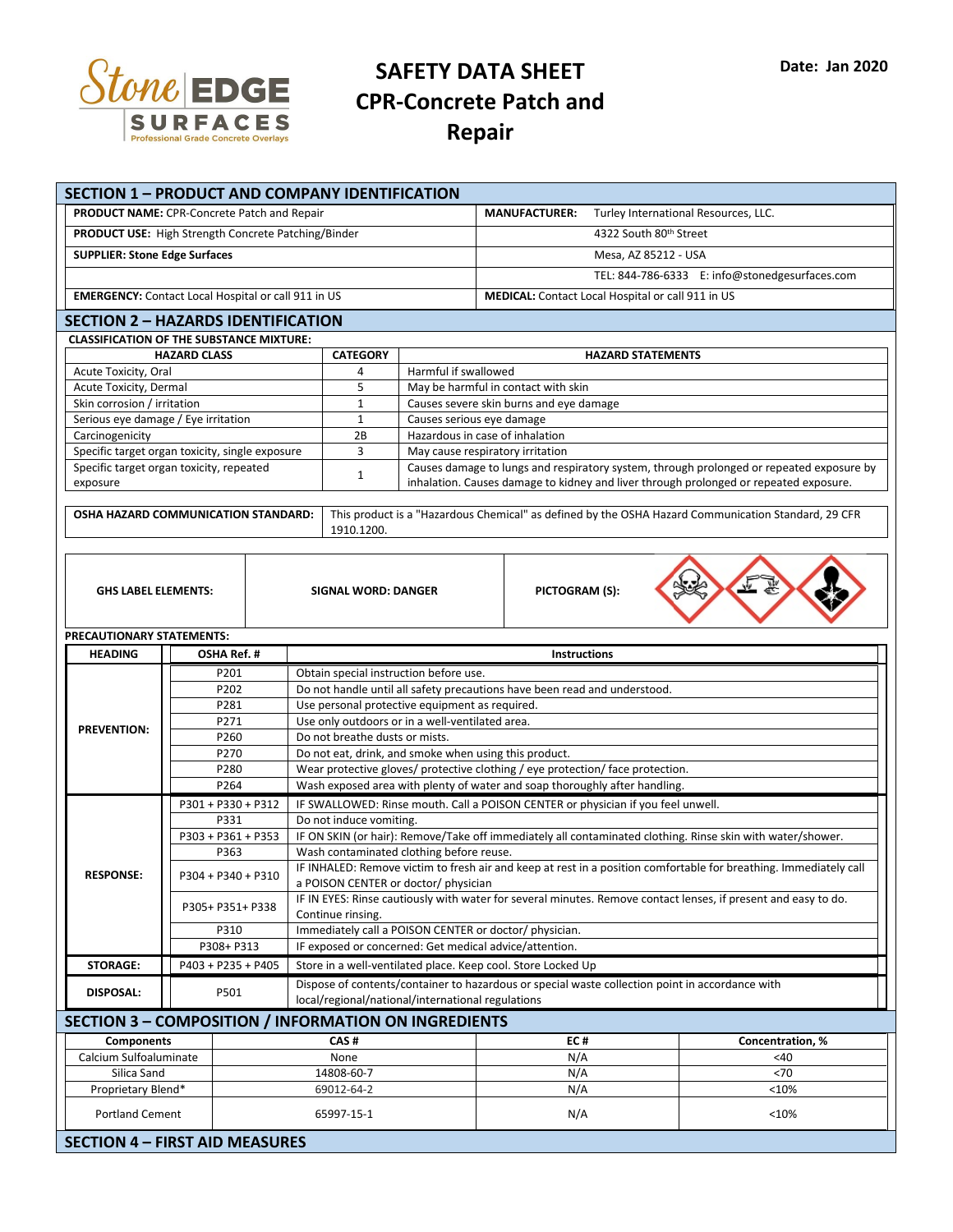

## **SAFETY DATA SHEET CPR-Concrete Patch and Repair**

| SECTION 1 - PRODUCT AND COMPANY IDENTIFICATION<br><b>PRODUCT NAME:</b> CPR-Concrete Patch and Repair |                            |                          |                                                                                  |                                                                                                                                       |                                                                            | <b>MANUFACTURER:</b>                                     |  | Turley International Resources, LLC.                                                                |  |
|------------------------------------------------------------------------------------------------------|----------------------------|--------------------------|----------------------------------------------------------------------------------|---------------------------------------------------------------------------------------------------------------------------------------|----------------------------------------------------------------------------|----------------------------------------------------------|--|-----------------------------------------------------------------------------------------------------|--|
|                                                                                                      |                            |                          |                                                                                  |                                                                                                                                       |                                                                            |                                                          |  |                                                                                                     |  |
| PRODUCT USE: High Strength Concrete Patching/Binder                                                  |                            |                          |                                                                                  |                                                                                                                                       |                                                                            | 4322 South 80th Street                                   |  |                                                                                                     |  |
| <b>SUPPLIER: Stone Edge Surfaces</b>                                                                 |                            |                          |                                                                                  |                                                                                                                                       |                                                                            | Mesa, AZ 85212 - USA                                     |  |                                                                                                     |  |
|                                                                                                      |                            |                          |                                                                                  |                                                                                                                                       |                                                                            |                                                          |  | TEL: 844-786-6333 E: info@stonedgesurfaces.com                                                      |  |
| <b>EMERGENCY:</b> Contact Local Hospital or call 911 in US                                           |                            |                          |                                                                                  |                                                                                                                                       |                                                                            | <b>MEDICAL:</b> Contact Local Hospital or call 911 in US |  |                                                                                                     |  |
| <b>SECTION 2 - HAZARDS IDENTIFICATION</b>                                                            |                            |                          |                                                                                  |                                                                                                                                       |                                                                            |                                                          |  |                                                                                                     |  |
| <b>CLASSIFICATION OF THE SUBSTANCE MIXTURE:</b>                                                      |                            |                          |                                                                                  |                                                                                                                                       |                                                                            |                                                          |  |                                                                                                     |  |
|                                                                                                      | <b>HAZARD CLASS</b>        |                          |                                                                                  | <b>CATEGORY</b><br><b>HAZARD STATEMENTS</b>                                                                                           |                                                                            |                                                          |  |                                                                                                     |  |
| Acute Toxicity, Oral                                                                                 |                            |                          |                                                                                  |                                                                                                                                       | Harmful if swallowed<br>4<br>5<br>May be harmful in contact with skin      |                                                          |  |                                                                                                     |  |
| Acute Toxicity, Dermal<br>Skin corrosion / irritation                                                |                            |                          |                                                                                  | $\mathbf{1}$                                                                                                                          |                                                                            |                                                          |  |                                                                                                     |  |
| Serious eye damage / Eye irritation                                                                  |                            |                          |                                                                                  | $\mathbf{1}$                                                                                                                          | Causes severe skin burns and eye damage<br>Causes serious eye damage       |                                                          |  |                                                                                                     |  |
| Carcinogenicity                                                                                      |                            |                          |                                                                                  | 2B                                                                                                                                    | Hazardous in case of inhalation                                            |                                                          |  |                                                                                                     |  |
| Specific target organ toxicity, single exposure                                                      |                            |                          |                                                                                  | 3                                                                                                                                     | May cause respiratory irritation                                           |                                                          |  |                                                                                                     |  |
| Specific target organ toxicity, repeated                                                             |                            |                          |                                                                                  | $\mathbf{1}$                                                                                                                          |                                                                            |                                                          |  | Causes damage to lungs and respiratory system, through prolonged or repeated exposure by            |  |
| exposure                                                                                             |                            |                          |                                                                                  |                                                                                                                                       |                                                                            |                                                          |  | inhalation. Causes damage to kidney and liver through prolonged or repeated exposure.               |  |
| OSHA HAZARD COMMUNICATION STANDARD:                                                                  |                            |                          |                                                                                  | 1910.1200.                                                                                                                            |                                                                            |                                                          |  | This product is a "Hazardous Chemical" as defined by the OSHA Hazard Communication Standard, 29 CFR |  |
|                                                                                                      |                            |                          |                                                                                  |                                                                                                                                       |                                                                            |                                                          |  |                                                                                                     |  |
|                                                                                                      | <b>GHS LABEL ELEMENTS:</b> |                          |                                                                                  | <b>SIGNAL WORD: DANGER</b>                                                                                                            |                                                                            | PICTOGRAM (S):                                           |  |                                                                                                     |  |
| PRECAUTIONARY STATEMENTS:                                                                            |                            |                          |                                                                                  |                                                                                                                                       |                                                                            |                                                          |  |                                                                                                     |  |
| <b>HEADING</b><br>OSHA Ref. #                                                                        |                            |                          |                                                                                  |                                                                                                                                       |                                                                            | <b>Instructions</b>                                      |  |                                                                                                     |  |
| P201                                                                                                 |                            |                          |                                                                                  | Obtain special instruction before use.                                                                                                |                                                                            |                                                          |  |                                                                                                     |  |
|                                                                                                      | P202                       |                          | Do not handle until all safety precautions have been read and understood.        |                                                                                                                                       |                                                                            |                                                          |  |                                                                                                     |  |
|                                                                                                      |                            | P281                     |                                                                                  | Use personal protective equipment as required.<br>Use only outdoors or in a well-ventilated area.                                     |                                                                            |                                                          |  |                                                                                                     |  |
| <b>PREVENTION:</b>                                                                                   |                            | P271<br>P260             |                                                                                  | Do not breathe dusts or mists.                                                                                                        |                                                                            |                                                          |  |                                                                                                     |  |
|                                                                                                      | P270                       |                          | Do not eat, drink, and smoke when using this product.                            |                                                                                                                                       |                                                                            |                                                          |  |                                                                                                     |  |
|                                                                                                      | P280                       |                          | Wear protective gloves/ protective clothing / eye protection/ face protection.   |                                                                                                                                       |                                                                            |                                                          |  |                                                                                                     |  |
|                                                                                                      | P264                       |                          |                                                                                  |                                                                                                                                       | Wash exposed area with plenty of water and soap thoroughly after handling. |                                                          |  |                                                                                                     |  |
|                                                                                                      | P301 + P330 + P312         |                          | IF SWALLOWED: Rinse mouth. Call a POISON CENTER or physician if you feel unwell. |                                                                                                                                       |                                                                            |                                                          |  |                                                                                                     |  |
|                                                                                                      | P331<br>P303 + P361 + P353 |                          |                                                                                  | Do not induce vomiting.<br>IF ON SKIN (or hair): Remove/Take off immediately all contaminated clothing. Rinse skin with water/shower. |                                                                            |                                                          |  |                                                                                                     |  |
|                                                                                                      | P363                       |                          |                                                                                  | Wash contaminated clothing before reuse.                                                                                              |                                                                            |                                                          |  |                                                                                                     |  |
| <b>RESPONSE:</b>                                                                                     |                            |                          |                                                                                  | IF INHALED: Remove victim to fresh air and keep at rest in a position comfortable for breathing. Immediately call                     |                                                                            |                                                          |  |                                                                                                     |  |
|                                                                                                      |                            | P304 + P340 + P310       |                                                                                  | a POISON CENTER or doctor/ physician                                                                                                  |                                                                            |                                                          |  |                                                                                                     |  |
|                                                                                                      |                            | P305+ P351+ P338<br>P310 |                                                                                  | IF IN EYES: Rinse cautiously with water for several minutes. Remove contact lenses, if present and easy to do.                        |                                                                            |                                                          |  |                                                                                                     |  |
|                                                                                                      |                            |                          |                                                                                  | Continue rinsing.<br>Immediately call a POISON CENTER or doctor/ physician.                                                           |                                                                            |                                                          |  |                                                                                                     |  |
|                                                                                                      | P308+ P313                 |                          |                                                                                  | IF exposed or concerned: Get medical advice/attention.                                                                                |                                                                            |                                                          |  |                                                                                                     |  |
| <b>STORAGE:</b>                                                                                      | P403 + P235 + P405         |                          | Store in a well-ventilated place. Keep cool. Store Locked Up                     |                                                                                                                                       |                                                                            |                                                          |  |                                                                                                     |  |
|                                                                                                      |                            |                          |                                                                                  | Dispose of contents/container to hazardous or special waste collection point in accordance with                                       |                                                                            |                                                          |  |                                                                                                     |  |
| <b>DISPOSAL:</b>                                                                                     | P501                       |                          |                                                                                  |                                                                                                                                       | local/regional/national/international regulations                          |                                                          |  |                                                                                                     |  |
| <b>SECTION 3 - COMPOSITION / INFORMATION ON INGREDIENTS</b>                                          |                            |                          |                                                                                  |                                                                                                                                       |                                                                            |                                                          |  |                                                                                                     |  |
| <b>Components</b>                                                                                    |                            |                          | CAS#                                                                             |                                                                                                                                       |                                                                            | EC#                                                      |  | Concentration, %                                                                                    |  |
| Calcium Sulfoaluminate                                                                               |                            | None                     |                                                                                  |                                                                                                                                       |                                                                            | N/A                                                      |  | <40                                                                                                 |  |
| Silica Sand                                                                                          |                            |                          |                                                                                  | 14808-60-7                                                                                                                            |                                                                            | N/A                                                      |  | < 70                                                                                                |  |
| Proprietary Blend*                                                                                   |                            |                          | 69012-64-2                                                                       |                                                                                                                                       |                                                                            | N/A                                                      |  | <10%                                                                                                |  |
|                                                                                                      |                            |                          |                                                                                  |                                                                                                                                       |                                                                            |                                                          |  |                                                                                                     |  |
| <b>Portland Cement</b><br><b>SECTION 4 - FIRST AID MEASURES</b>                                      |                            |                          |                                                                                  | 65997-15-1                                                                                                                            |                                                                            | N/A                                                      |  | $<$ 10%                                                                                             |  |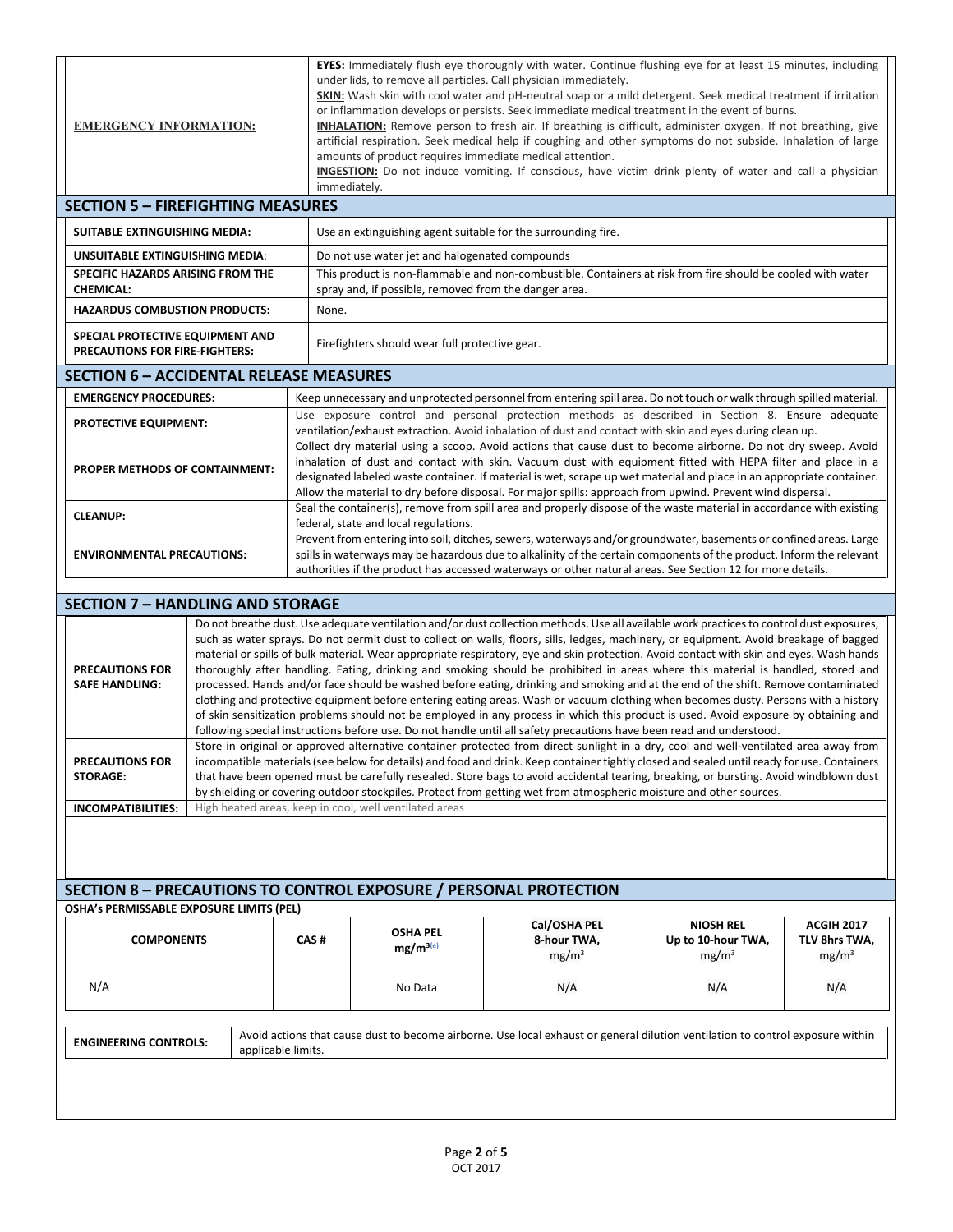| <b>EMERGENCY INFORMATION:</b>                                                                                                                                                                                                                                                                                                                                                                                                                           |                                                                                                                                                                                                                                                                                                                                                                                                                                                                                                                                                                                                                                                                                                                                                                                                                                                                                                                                                                                                                                                                                                                                                                                                                                                                                                   |       | <b>EYES:</b> Immediately flush eye thoroughly with water. Continue flushing eye for at least 15 minutes, including<br>under lids, to remove all particles. Call physician immediately.<br>SKIN: Wash skin with cool water and pH-neutral soap or a mild detergent. Seek medical treatment if irritation<br>or inflammation develops or persists. Seek immediate medical treatment in the event of burns.<br><b>INHALATION:</b> Remove person to fresh air. If breathing is difficult, administer oxygen. If not breathing, give<br>artificial respiration. Seek medical help if coughing and other symptoms do not subside. Inhalation of large<br>amounts of product requires immediate medical attention.<br>INGESTION: Do not induce vomiting. If conscious, have victim drink plenty of water and call a physician<br>immediately. |                                                                                                                                                                                                                        |                                         |                                    |  |  |  |
|---------------------------------------------------------------------------------------------------------------------------------------------------------------------------------------------------------------------------------------------------------------------------------------------------------------------------------------------------------------------------------------------------------------------------------------------------------|---------------------------------------------------------------------------------------------------------------------------------------------------------------------------------------------------------------------------------------------------------------------------------------------------------------------------------------------------------------------------------------------------------------------------------------------------------------------------------------------------------------------------------------------------------------------------------------------------------------------------------------------------------------------------------------------------------------------------------------------------------------------------------------------------------------------------------------------------------------------------------------------------------------------------------------------------------------------------------------------------------------------------------------------------------------------------------------------------------------------------------------------------------------------------------------------------------------------------------------------------------------------------------------------------|-------|----------------------------------------------------------------------------------------------------------------------------------------------------------------------------------------------------------------------------------------------------------------------------------------------------------------------------------------------------------------------------------------------------------------------------------------------------------------------------------------------------------------------------------------------------------------------------------------------------------------------------------------------------------------------------------------------------------------------------------------------------------------------------------------------------------------------------------------|------------------------------------------------------------------------------------------------------------------------------------------------------------------------------------------------------------------------|-----------------------------------------|------------------------------------|--|--|--|
| <b>SECTION 5 - FIREFIGHTING MEASURES</b>                                                                                                                                                                                                                                                                                                                                                                                                                |                                                                                                                                                                                                                                                                                                                                                                                                                                                                                                                                                                                                                                                                                                                                                                                                                                                                                                                                                                                                                                                                                                                                                                                                                                                                                                   |       |                                                                                                                                                                                                                                                                                                                                                                                                                                                                                                                                                                                                                                                                                                                                                                                                                                        |                                                                                                                                                                                                                        |                                         |                                    |  |  |  |
| SUITABLE EXTINGUISHING MEDIA:                                                                                                                                                                                                                                                                                                                                                                                                                           |                                                                                                                                                                                                                                                                                                                                                                                                                                                                                                                                                                                                                                                                                                                                                                                                                                                                                                                                                                                                                                                                                                                                                                                                                                                                                                   |       | Use an extinguishing agent suitable for the surrounding fire.                                                                                                                                                                                                                                                                                                                                                                                                                                                                                                                                                                                                                                                                                                                                                                          |                                                                                                                                                                                                                        |                                         |                                    |  |  |  |
| UNSUITABLE EXTINGUISHING MEDIA:                                                                                                                                                                                                                                                                                                                                                                                                                         |                                                                                                                                                                                                                                                                                                                                                                                                                                                                                                                                                                                                                                                                                                                                                                                                                                                                                                                                                                                                                                                                                                                                                                                                                                                                                                   |       | Do not use water jet and halogenated compounds                                                                                                                                                                                                                                                                                                                                                                                                                                                                                                                                                                                                                                                                                                                                                                                         |                                                                                                                                                                                                                        |                                         |                                    |  |  |  |
| SPECIFIC HAZARDS ARISING FROM THE                                                                                                                                                                                                                                                                                                                                                                                                                       |                                                                                                                                                                                                                                                                                                                                                                                                                                                                                                                                                                                                                                                                                                                                                                                                                                                                                                                                                                                                                                                                                                                                                                                                                                                                                                   |       |                                                                                                                                                                                                                                                                                                                                                                                                                                                                                                                                                                                                                                                                                                                                                                                                                                        | This product is non-flammable and non-combustible. Containers at risk from fire should be cooled with water                                                                                                            |                                         |                                    |  |  |  |
| <b>CHEMICAL:</b><br><b>HAZARDUS COMBUSTION PRODUCTS:</b>                                                                                                                                                                                                                                                                                                                                                                                                |                                                                                                                                                                                                                                                                                                                                                                                                                                                                                                                                                                                                                                                                                                                                                                                                                                                                                                                                                                                                                                                                                                                                                                                                                                                                                                   | None. | spray and, if possible, removed from the danger area.                                                                                                                                                                                                                                                                                                                                                                                                                                                                                                                                                                                                                                                                                                                                                                                  |                                                                                                                                                                                                                        |                                         |                                    |  |  |  |
|                                                                                                                                                                                                                                                                                                                                                                                                                                                         |                                                                                                                                                                                                                                                                                                                                                                                                                                                                                                                                                                                                                                                                                                                                                                                                                                                                                                                                                                                                                                                                                                                                                                                                                                                                                                   |       |                                                                                                                                                                                                                                                                                                                                                                                                                                                                                                                                                                                                                                                                                                                                                                                                                                        |                                                                                                                                                                                                                        |                                         |                                    |  |  |  |
| SPECIAL PROTECTIVE EQUIPMENT AND<br>PRECAUTIONS FOR FIRE-FIGHTERS:                                                                                                                                                                                                                                                                                                                                                                                      |                                                                                                                                                                                                                                                                                                                                                                                                                                                                                                                                                                                                                                                                                                                                                                                                                                                                                                                                                                                                                                                                                                                                                                                                                                                                                                   |       | Firefighters should wear full protective gear.                                                                                                                                                                                                                                                                                                                                                                                                                                                                                                                                                                                                                                                                                                                                                                                         |                                                                                                                                                                                                                        |                                         |                                    |  |  |  |
| <b>SECTION 6 - ACCIDENTAL RELEASE MEASURES</b>                                                                                                                                                                                                                                                                                                                                                                                                          |                                                                                                                                                                                                                                                                                                                                                                                                                                                                                                                                                                                                                                                                                                                                                                                                                                                                                                                                                                                                                                                                                                                                                                                                                                                                                                   |       |                                                                                                                                                                                                                                                                                                                                                                                                                                                                                                                                                                                                                                                                                                                                                                                                                                        |                                                                                                                                                                                                                        |                                         |                                    |  |  |  |
| <b>EMERGENCY PROCEDURES:</b>                                                                                                                                                                                                                                                                                                                                                                                                                            |                                                                                                                                                                                                                                                                                                                                                                                                                                                                                                                                                                                                                                                                                                                                                                                                                                                                                                                                                                                                                                                                                                                                                                                                                                                                                                   |       |                                                                                                                                                                                                                                                                                                                                                                                                                                                                                                                                                                                                                                                                                                                                                                                                                                        | Keep unnecessary and unprotected personnel from entering spill area. Do not touch or walk through spilled material.<br>Use exposure control and personal protection methods as described in Section 8. Ensure adequate |                                         |                                    |  |  |  |
| <b>PROTECTIVE EQUIPMENT:</b>                                                                                                                                                                                                                                                                                                                                                                                                                            |                                                                                                                                                                                                                                                                                                                                                                                                                                                                                                                                                                                                                                                                                                                                                                                                                                                                                                                                                                                                                                                                                                                                                                                                                                                                                                   |       |                                                                                                                                                                                                                                                                                                                                                                                                                                                                                                                                                                                                                                                                                                                                                                                                                                        |                                                                                                                                                                                                                        |                                         |                                    |  |  |  |
| PROPER METHODS OF CONTAINMENT:                                                                                                                                                                                                                                                                                                                                                                                                                          |                                                                                                                                                                                                                                                                                                                                                                                                                                                                                                                                                                                                                                                                                                                                                                                                                                                                                                                                                                                                                                                                                                                                                                                                                                                                                                   |       | ventilation/exhaust extraction. Avoid inhalation of dust and contact with skin and eyes during clean up.<br>Collect dry material using a scoop. Avoid actions that cause dust to become airborne. Do not dry sweep. Avoid<br>inhalation of dust and contact with skin. Vacuum dust with equipment fitted with HEPA filter and place in a<br>designated labeled waste container. If material is wet, scrape up wet material and place in an appropriate container.<br>Allow the material to dry before disposal. For major spills: approach from upwind. Prevent wind dispersal.                                                                                                                                                                                                                                                        |                                                                                                                                                                                                                        |                                         |                                    |  |  |  |
| <b>CLEANUP:</b>                                                                                                                                                                                                                                                                                                                                                                                                                                         |                                                                                                                                                                                                                                                                                                                                                                                                                                                                                                                                                                                                                                                                                                                                                                                                                                                                                                                                                                                                                                                                                                                                                                                                                                                                                                   |       |                                                                                                                                                                                                                                                                                                                                                                                                                                                                                                                                                                                                                                                                                                                                                                                                                                        | Seal the container(s), remove from spill area and properly dispose of the waste material in accordance with existing                                                                                                   |                                         |                                    |  |  |  |
| <b>ENVIRONMENTAL PRECAUTIONS:</b>                                                                                                                                                                                                                                                                                                                                                                                                                       |                                                                                                                                                                                                                                                                                                                                                                                                                                                                                                                                                                                                                                                                                                                                                                                                                                                                                                                                                                                                                                                                                                                                                                                                                                                                                                   |       | federal, state and local regulations.<br>Prevent from entering into soil, ditches, sewers, waterways and/or groundwater, basements or confined areas. Large<br>spills in waterways may be hazardous due to alkalinity of the certain components of the product. Inform the relevant<br>authorities if the product has accessed waterways or other natural areas. See Section 12 for more details.                                                                                                                                                                                                                                                                                                                                                                                                                                      |                                                                                                                                                                                                                        |                                         |                                    |  |  |  |
|                                                                                                                                                                                                                                                                                                                                                                                                                                                         |                                                                                                                                                                                                                                                                                                                                                                                                                                                                                                                                                                                                                                                                                                                                                                                                                                                                                                                                                                                                                                                                                                                                                                                                                                                                                                   |       |                                                                                                                                                                                                                                                                                                                                                                                                                                                                                                                                                                                                                                                                                                                                                                                                                                        |                                                                                                                                                                                                                        |                                         |                                    |  |  |  |
| <b>PRECAUTIONS FOR</b><br><b>SAFE HANDLING:</b>                                                                                                                                                                                                                                                                                                                                                                                                         | <b>SECTION 7 - HANDLING AND STORAGE</b><br>Do not breathe dust. Use adequate ventilation and/or dust collection methods. Use all available work practices to control dust exposures,<br>such as water sprays. Do not permit dust to collect on walls, floors, sills, ledges, machinery, or equipment. Avoid breakage of bagged<br>material or spills of bulk material. Wear appropriate respiratory, eye and skin protection. Avoid contact with skin and eyes. Wash hands<br>thoroughly after handling. Eating, drinking and smoking should be prohibited in areas where this material is handled, stored and<br>processed. Hands and/or face should be washed before eating, drinking and smoking and at the end of the shift. Remove contaminated<br>clothing and protective equipment before entering eating areas. Wash or vacuum clothing when becomes dusty. Persons with a history<br>of skin sensitization problems should not be employed in any process in which this product is used. Avoid exposure by obtaining and<br>following special instructions before use. Do not handle until all safety precautions have been read and understood.<br>Store in original or approved alternative container protected from direct sunlight in a dry, cool and well-ventilated area away from |       |                                                                                                                                                                                                                                                                                                                                                                                                                                                                                                                                                                                                                                                                                                                                                                                                                                        |                                                                                                                                                                                                                        |                                         |                                    |  |  |  |
| incompatible materials (see below for details) and food and drink. Keep container tightly closed and sealed until ready for use. Containers<br><b>PRECAUTIONS FOR</b><br><b>STORAGE:</b><br>that have been opened must be carefully resealed. Store bags to avoid accidental tearing, breaking, or bursting. Avoid windblown dust<br>by shielding or covering outdoor stockpiles. Protect from getting wet from atmospheric moisture and other sources. |                                                                                                                                                                                                                                                                                                                                                                                                                                                                                                                                                                                                                                                                                                                                                                                                                                                                                                                                                                                                                                                                                                                                                                                                                                                                                                   |       |                                                                                                                                                                                                                                                                                                                                                                                                                                                                                                                                                                                                                                                                                                                                                                                                                                        |                                                                                                                                                                                                                        |                                         |                                    |  |  |  |
| <b>INCOMPATIBILITIES:</b>                                                                                                                                                                                                                                                                                                                                                                                                                               |                                                                                                                                                                                                                                                                                                                                                                                                                                                                                                                                                                                                                                                                                                                                                                                                                                                                                                                                                                                                                                                                                                                                                                                                                                                                                                   |       | High heated areas, keep in cool, well ventilated areas                                                                                                                                                                                                                                                                                                                                                                                                                                                                                                                                                                                                                                                                                                                                                                                 |                                                                                                                                                                                                                        |                                         |                                    |  |  |  |
|                                                                                                                                                                                                                                                                                                                                                                                                                                                         |                                                                                                                                                                                                                                                                                                                                                                                                                                                                                                                                                                                                                                                                                                                                                                                                                                                                                                                                                                                                                                                                                                                                                                                                                                                                                                   |       |                                                                                                                                                                                                                                                                                                                                                                                                                                                                                                                                                                                                                                                                                                                                                                                                                                        |                                                                                                                                                                                                                        |                                         |                                    |  |  |  |
|                                                                                                                                                                                                                                                                                                                                                                                                                                                         |                                                                                                                                                                                                                                                                                                                                                                                                                                                                                                                                                                                                                                                                                                                                                                                                                                                                                                                                                                                                                                                                                                                                                                                                                                                                                                   |       | <b>SECTION 8 - PRECAUTIONS TO CONTROL EXPOSURE / PERSONAL PROTECTION</b>                                                                                                                                                                                                                                                                                                                                                                                                                                                                                                                                                                                                                                                                                                                                                               |                                                                                                                                                                                                                        |                                         |                                    |  |  |  |
| OSHA's PERMISSABLE EXPOSURE LIMITS (PEL)                                                                                                                                                                                                                                                                                                                                                                                                                |                                                                                                                                                                                                                                                                                                                                                                                                                                                                                                                                                                                                                                                                                                                                                                                                                                                                                                                                                                                                                                                                                                                                                                                                                                                                                                   |       |                                                                                                                                                                                                                                                                                                                                                                                                                                                                                                                                                                                                                                                                                                                                                                                                                                        | Cal/OSHA PEL                                                                                                                                                                                                           | <b>NIOSH REL</b>                        | <b>ACGIH 2017</b>                  |  |  |  |
| <b>COMPONENTS</b>                                                                                                                                                                                                                                                                                                                                                                                                                                       |                                                                                                                                                                                                                                                                                                                                                                                                                                                                                                                                                                                                                                                                                                                                                                                                                                                                                                                                                                                                                                                                                                                                                                                                                                                                                                   | CAS#  | <b>OSHA PEL</b><br>$mg/m^{3(e)}$                                                                                                                                                                                                                                                                                                                                                                                                                                                                                                                                                                                                                                                                                                                                                                                                       | 8-hour TWA,<br>mg/m <sup>3</sup>                                                                                                                                                                                       | Up to 10-hour TWA,<br>mg/m <sup>3</sup> | TLV 8hrs TWA,<br>mg/m <sup>3</sup> |  |  |  |
| N/A                                                                                                                                                                                                                                                                                                                                                                                                                                                     |                                                                                                                                                                                                                                                                                                                                                                                                                                                                                                                                                                                                                                                                                                                                                                                                                                                                                                                                                                                                                                                                                                                                                                                                                                                                                                   |       | No Data                                                                                                                                                                                                                                                                                                                                                                                                                                                                                                                                                                                                                                                                                                                                                                                                                                | N/A                                                                                                                                                                                                                    | N/A                                     | N/A                                |  |  |  |
| <b>ENGINEERING CONTROLS:</b>                                                                                                                                                                                                                                                                                                                                                                                                                            | applicable limits.                                                                                                                                                                                                                                                                                                                                                                                                                                                                                                                                                                                                                                                                                                                                                                                                                                                                                                                                                                                                                                                                                                                                                                                                                                                                                |       |                                                                                                                                                                                                                                                                                                                                                                                                                                                                                                                                                                                                                                                                                                                                                                                                                                        | Avoid actions that cause dust to become airborne. Use local exhaust or general dilution ventilation to control exposure within                                                                                         |                                         |                                    |  |  |  |
|                                                                                                                                                                                                                                                                                                                                                                                                                                                         |                                                                                                                                                                                                                                                                                                                                                                                                                                                                                                                                                                                                                                                                                                                                                                                                                                                                                                                                                                                                                                                                                                                                                                                                                                                                                                   |       |                                                                                                                                                                                                                                                                                                                                                                                                                                                                                                                                                                                                                                                                                                                                                                                                                                        |                                                                                                                                                                                                                        |                                         |                                    |  |  |  |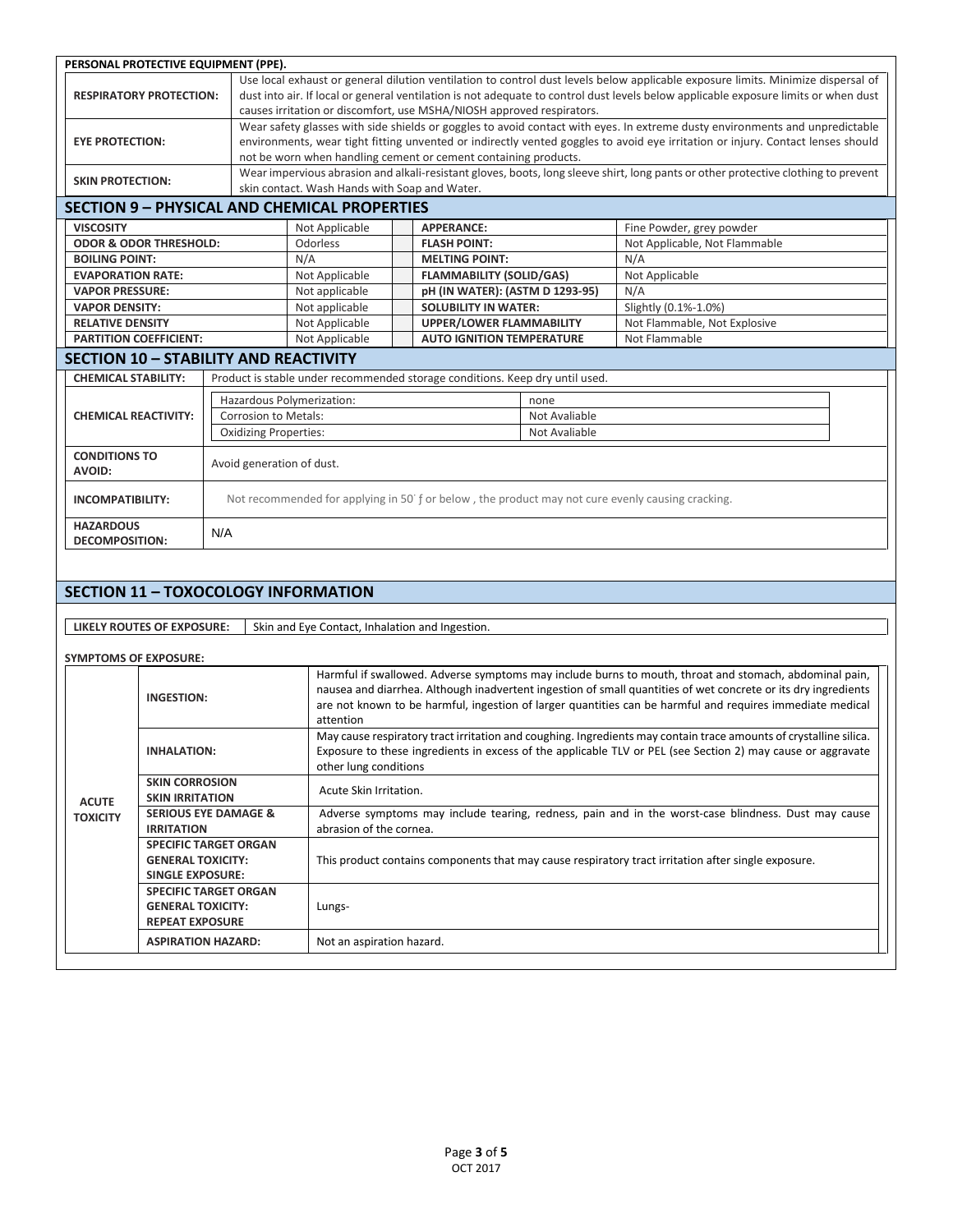| PERSONAL PROTECTIVE EQUIPMENT (PPE).                                                                                             |                              |                                                                                                                                     |  |                                                                              |               |                                                                                                                                    |  |  |  |
|----------------------------------------------------------------------------------------------------------------------------------|------------------------------|-------------------------------------------------------------------------------------------------------------------------------------|--|------------------------------------------------------------------------------|---------------|------------------------------------------------------------------------------------------------------------------------------------|--|--|--|
| Use local exhaust or general dilution ventilation to control dust levels below applicable exposure limits. Minimize dispersal of |                              |                                                                                                                                     |  |                                                                              |               |                                                                                                                                    |  |  |  |
| <b>RESPIRATORY PROTECTION:</b>                                                                                                   |                              | dust into air. If local or general ventilation is not adequate to control dust levels below applicable exposure limits or when dust |  |                                                                              |               |                                                                                                                                    |  |  |  |
|                                                                                                                                  |                              | causes irritation or discomfort, use MSHA/NIOSH approved respirators.                                                               |  |                                                                              |               |                                                                                                                                    |  |  |  |
|                                                                                                                                  |                              | Wear safety glasses with side shields or goggles to avoid contact with eyes. In extreme dusty environments and unpredictable        |  |                                                                              |               |                                                                                                                                    |  |  |  |
| <b>EYE PROTECTION:</b>                                                                                                           |                              | environments, wear tight fitting unvented or indirectly vented goggles to avoid eye irritation or injury. Contact lenses should     |  |                                                                              |               |                                                                                                                                    |  |  |  |
|                                                                                                                                  |                              |                                                                                                                                     |  | not be worn when handling cement or cement containing products.              |               |                                                                                                                                    |  |  |  |
| <b>SKIN PROTECTION:</b>                                                                                                          |                              |                                                                                                                                     |  |                                                                              |               | Wear impervious abrasion and alkali-resistant gloves, boots, long sleeve shirt, long pants or other protective clothing to prevent |  |  |  |
| skin contact. Wash Hands with Soap and Water.                                                                                    |                              |                                                                                                                                     |  |                                                                              |               |                                                                                                                                    |  |  |  |
| <b>SECTION 9 - PHYSICAL AND CHEMICAL PROPERTIES</b>                                                                              |                              |                                                                                                                                     |  |                                                                              |               |                                                                                                                                    |  |  |  |
| <b>VISCOSITY</b>                                                                                                                 |                              | Not Applicable                                                                                                                      |  | <b>APPERANCE:</b>                                                            |               | Fine Powder, grey powder                                                                                                           |  |  |  |
| <b>ODOR &amp; ODOR THRESHOLD:</b>                                                                                                |                              | Odorless                                                                                                                            |  | <b>FLASH POINT:</b>                                                          |               | Not Applicable, Not Flammable                                                                                                      |  |  |  |
| <b>BOILING POINT:</b>                                                                                                            | N/A                          |                                                                                                                                     |  | <b>MELTING POINT:</b>                                                        |               | N/A                                                                                                                                |  |  |  |
| <b>EVAPORATION RATE:</b>                                                                                                         |                              | Not Applicable                                                                                                                      |  | <b>FLAMMABILITY (SOLID/GAS)</b>                                              |               | Not Applicable                                                                                                                     |  |  |  |
| <b>VAPOR PRESSURE:</b>                                                                                                           |                              | Not applicable                                                                                                                      |  | pH (IN WATER): (ASTM D 1293-95)                                              |               | N/A                                                                                                                                |  |  |  |
| <b>VAPOR DENSITY:</b>                                                                                                            |                              | Not applicable                                                                                                                      |  | <b>SOLUBILITY IN WATER:</b>                                                  |               | Slightly (0.1%-1.0%)                                                                                                               |  |  |  |
| <b>RELATIVE DENSITY</b>                                                                                                          |                              | Not Applicable                                                                                                                      |  | <b>UPPER/LOWER FLAMMABILITY</b>                                              |               | Not Flammable, Not Explosive                                                                                                       |  |  |  |
| <b>PARTITION COEFFICIENT:</b>                                                                                                    |                              | Not Applicable                                                                                                                      |  | <b>AUTO IGNITION TEMPERATURE</b>                                             |               | Not Flammable                                                                                                                      |  |  |  |
| <b>SECTION 10 - STABILITY AND REACTIVITY</b>                                                                                     |                              |                                                                                                                                     |  |                                                                              |               |                                                                                                                                    |  |  |  |
| <b>CHEMICAL STABILITY:</b>                                                                                                       |                              |                                                                                                                                     |  | Product is stable under recommended storage conditions. Keep dry until used. |               |                                                                                                                                    |  |  |  |
|                                                                                                                                  | Hazardous Polymerization:    |                                                                                                                                     |  |                                                                              | none          |                                                                                                                                    |  |  |  |
| <b>CHEMICAL REACTIVITY:</b>                                                                                                      | <b>Corrosion to Metals:</b>  |                                                                                                                                     |  |                                                                              | Not Avaliable |                                                                                                                                    |  |  |  |
|                                                                                                                                  | <b>Oxidizing Properties:</b> |                                                                                                                                     |  |                                                                              | Not Avaliable |                                                                                                                                    |  |  |  |
| <b>CONDITIONS TO</b>                                                                                                             |                              |                                                                                                                                     |  |                                                                              |               |                                                                                                                                    |  |  |  |
| <b>AVOID:</b>                                                                                                                    |                              | Avoid generation of dust.                                                                                                           |  |                                                                              |               |                                                                                                                                    |  |  |  |
| <b>INCOMPATIBILITY:</b>                                                                                                          |                              |                                                                                                                                     |  |                                                                              |               | Not recommended for applying in 50 f or below, the product may not cure evenly causing cracking.                                   |  |  |  |
|                                                                                                                                  |                              |                                                                                                                                     |  |                                                                              |               |                                                                                                                                    |  |  |  |
| <b>DECOMPOSITION:</b>                                                                                                            | <b>HAZARDOUS</b><br>N/A      |                                                                                                                                     |  |                                                                              |               |                                                                                                                                    |  |  |  |
|                                                                                                                                  |                              |                                                                                                                                     |  |                                                                              |               |                                                                                                                                    |  |  |  |
| <b>SECTION 11 - TOXOCOLOGY INFORMATION</b>                                                                                       |                              |                                                                                                                                     |  |                                                                              |               |                                                                                                                                    |  |  |  |
|                                                                                                                                  |                              |                                                                                                                                     |  |                                                                              |               |                                                                                                                                    |  |  |  |
| LIKELY ROUTES OF EXPOSURE:                                                                                                       |                              | Skin and Eye Contact, Inhalation and Ingestion.                                                                                     |  |                                                                              |               |                                                                                                                                    |  |  |  |
|                                                                                                                                  |                              |                                                                                                                                     |  |                                                                              |               |                                                                                                                                    |  |  |  |
| <b>SYMPTOMS OF EXPOSURE:</b>                                                                                                     |                              |                                                                                                                                     |  |                                                                              |               |                                                                                                                                    |  |  |  |
|                                                                                                                                  |                              |                                                                                                                                     |  |                                                                              |               | Harmful if swallowed. Adverse symptoms may include burns to mouth, throat and stomach, abdominal pain,                             |  |  |  |
| <b>INGESTION:</b>                                                                                                                |                              |                                                                                                                                     |  |                                                                              |               | nausea and diarrhea. Although inadvertent ingestion of small quantities of wet concrete or its dry ingredients                     |  |  |  |
|                                                                                                                                  |                              | are not known to be harmful, ingestion of larger quantities can be harmful and requires immediate medical<br>attention              |  |                                                                              |               |                                                                                                                                    |  |  |  |

|                 |                                                                                     | attention                                                                                                                                                                                                                                                 |  |  |  |  |
|-----------------|-------------------------------------------------------------------------------------|-----------------------------------------------------------------------------------------------------------------------------------------------------------------------------------------------------------------------------------------------------------|--|--|--|--|
|                 | <b>INHALATION:</b>                                                                  | May cause respiratory tract irritation and coughing. Ingredients may contain trace amounts of crystalline silica.<br>Exposure to these ingredients in excess of the applicable TLV or PEL (see Section 2) may cause or aggravate<br>other lung conditions |  |  |  |  |
| <b>ACUTE</b>    | <b>SKIN CORROSION</b><br><b>SKIN IRRITATION</b>                                     | Acute Skin Irritation.                                                                                                                                                                                                                                    |  |  |  |  |
| <b>TOXICITY</b> | <b>SERIOUS EYE DAMAGE &amp;</b><br><b>IRRITATION</b>                                | Adverse symptoms may include tearing, redness, pain and in the worst-case blindness. Dust may cause<br>abrasion of the cornea.                                                                                                                            |  |  |  |  |
|                 | <b>SPECIFIC TARGET ORGAN</b><br><b>GENERAL TOXICITY:</b><br><b>SINGLE EXPOSURE:</b> | This product contains components that may cause respiratory tract irritation after single exposure.                                                                                                                                                       |  |  |  |  |
|                 | <b>SPECIFIC TARGET ORGAN</b><br><b>GENERAL TOXICITY:</b><br><b>REPEAT EXPOSURE</b>  | Lungs-                                                                                                                                                                                                                                                    |  |  |  |  |
|                 | <b>ASPIRATION HAZARD:</b>                                                           | Not an aspiration hazard.                                                                                                                                                                                                                                 |  |  |  |  |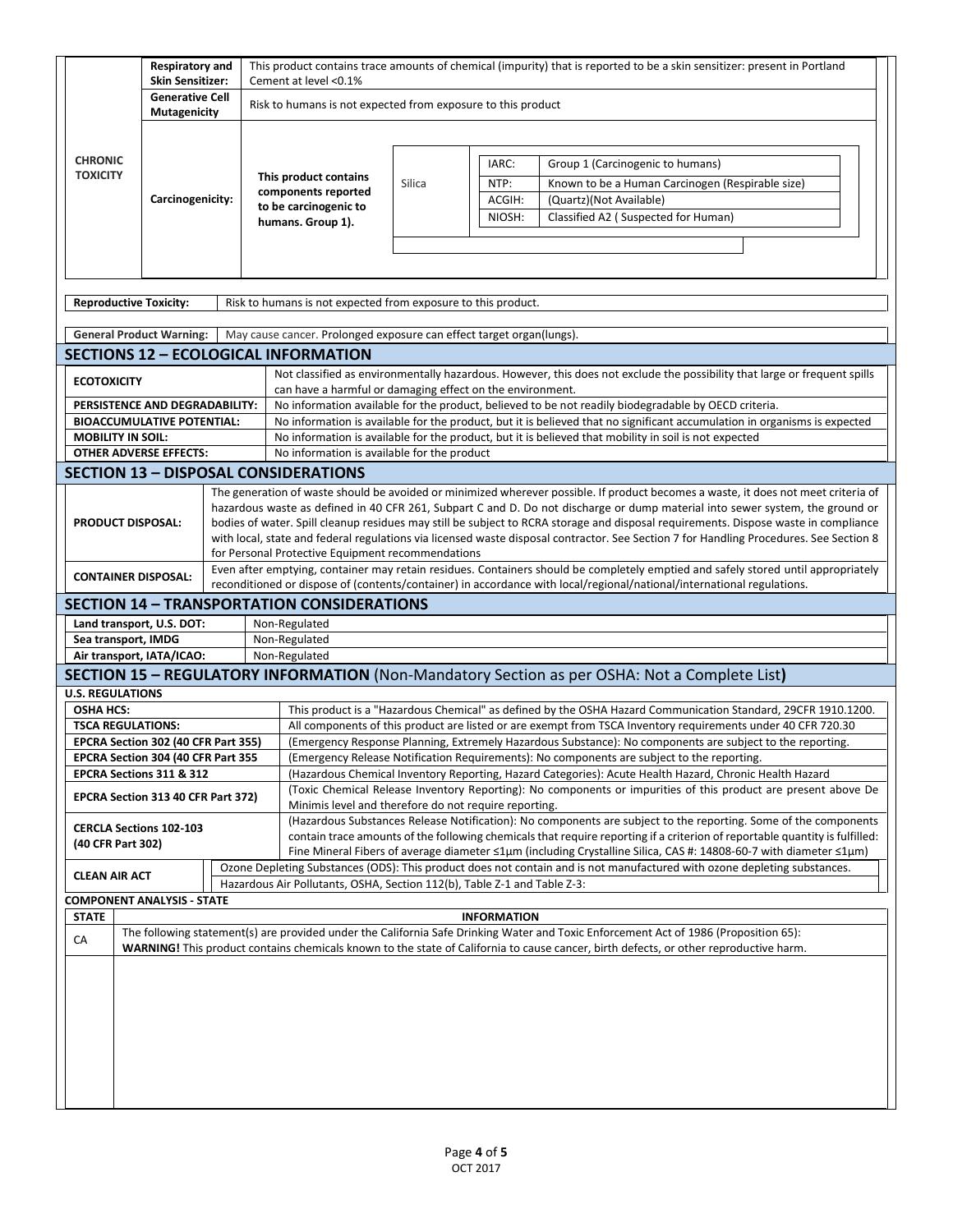|                                                     | <b>Respiratory and</b><br><b>Skin Sensitizer:</b> |  | This product contains trace amounts of chemical (impurity) that is reported to be a skin sensitizer: present in Portland<br>Cement at level <0.1% |                                                                                                                                                                                                                               |                                                                                            |                    |                                                                                                                                                                                                                                                                      |  |  |  |
|-----------------------------------------------------|---------------------------------------------------|--|---------------------------------------------------------------------------------------------------------------------------------------------------|-------------------------------------------------------------------------------------------------------------------------------------------------------------------------------------------------------------------------------|--------------------------------------------------------------------------------------------|--------------------|----------------------------------------------------------------------------------------------------------------------------------------------------------------------------------------------------------------------------------------------------------------------|--|--|--|
|                                                     | <b>Generative Cell</b>                            |  |                                                                                                                                                   |                                                                                                                                                                                                                               |                                                                                            |                    |                                                                                                                                                                                                                                                                      |  |  |  |
|                                                     | Mutagenicity                                      |  |                                                                                                                                                   |                                                                                                                                                                                                                               | Risk to humans is not expected from exposure to this product                               |                    |                                                                                                                                                                                                                                                                      |  |  |  |
|                                                     |                                                   |  |                                                                                                                                                   |                                                                                                                                                                                                                               |                                                                                            |                    |                                                                                                                                                                                                                                                                      |  |  |  |
| <b>CHRONIC</b>                                      |                                                   |  |                                                                                                                                                   |                                                                                                                                                                                                                               |                                                                                            | IARC:              | Group 1 (Carcinogenic to humans)                                                                                                                                                                                                                                     |  |  |  |
| <b>TOXICITY</b>                                     |                                                   |  |                                                                                                                                                   | This product contains                                                                                                                                                                                                         | Silica                                                                                     | NTP:               | Known to be a Human Carcinogen (Respirable size)                                                                                                                                                                                                                     |  |  |  |
|                                                     | Carcinogenicity:                                  |  |                                                                                                                                                   | components reported                                                                                                                                                                                                           |                                                                                            | ACGIH:             | (Quartz)(Not Available)                                                                                                                                                                                                                                              |  |  |  |
|                                                     |                                                   |  |                                                                                                                                                   | to be carcinogenic to<br>humans. Group 1).                                                                                                                                                                                    |                                                                                            | NIOSH:             | Classified A2 (Suspected for Human)                                                                                                                                                                                                                                  |  |  |  |
|                                                     |                                                   |  |                                                                                                                                                   |                                                                                                                                                                                                                               |                                                                                            |                    |                                                                                                                                                                                                                                                                      |  |  |  |
|                                                     |                                                   |  |                                                                                                                                                   |                                                                                                                                                                                                                               |                                                                                            |                    |                                                                                                                                                                                                                                                                      |  |  |  |
|                                                     |                                                   |  |                                                                                                                                                   |                                                                                                                                                                                                                               |                                                                                            |                    |                                                                                                                                                                                                                                                                      |  |  |  |
| <b>Reproductive Toxicity:</b>                       |                                                   |  |                                                                                                                                                   | Risk to humans is not expected from exposure to this product.                                                                                                                                                                 |                                                                                            |                    |                                                                                                                                                                                                                                                                      |  |  |  |
| <b>General Product Warning:</b>                     |                                                   |  |                                                                                                                                                   | May cause cancer. Prolonged exposure can effect target organ(lungs).                                                                                                                                                          |                                                                                            |                    |                                                                                                                                                                                                                                                                      |  |  |  |
|                                                     |                                                   |  |                                                                                                                                                   | <b>SECTIONS 12 - ECOLOGICAL INFORMATION</b>                                                                                                                                                                                   |                                                                                            |                    |                                                                                                                                                                                                                                                                      |  |  |  |
| <b>ECOTOXICITY</b>                                  |                                                   |  |                                                                                                                                                   |                                                                                                                                                                                                                               |                                                                                            |                    | Not classified as environmentally hazardous. However, this does not exclude the possibility that large or frequent spills                                                                                                                                            |  |  |  |
| PERSISTENCE AND DEGRADABILITY:                      |                                                   |  |                                                                                                                                                   | can have a harmful or damaging effect on the environment.                                                                                                                                                                     |                                                                                            |                    | No information available for the product, believed to be not readily biodegradable by OECD criteria.                                                                                                                                                                 |  |  |  |
| <b>BIOACCUMULATIVE POTENTIAL:</b>                   |                                                   |  |                                                                                                                                                   |                                                                                                                                                                                                                               |                                                                                            |                    | No information is available for the product, but it is believed that no significant accumulation in organisms is expected                                                                                                                                            |  |  |  |
| <b>MOBILITY IN SOIL:</b>                            |                                                   |  |                                                                                                                                                   |                                                                                                                                                                                                                               |                                                                                            |                    | No information is available for the product, but it is believed that mobility in soil is not expected                                                                                                                                                                |  |  |  |
| <b>OTHER ADVERSE EFFECTS:</b>                       |                                                   |  |                                                                                                                                                   | No information is available for the product                                                                                                                                                                                   |                                                                                            |                    |                                                                                                                                                                                                                                                                      |  |  |  |
|                                                     |                                                   |  |                                                                                                                                                   | <b>SECTION 13 - DISPOSAL CONSIDERATIONS</b>                                                                                                                                                                                   |                                                                                            |                    |                                                                                                                                                                                                                                                                      |  |  |  |
|                                                     |                                                   |  |                                                                                                                                                   |                                                                                                                                                                                                                               |                                                                                            |                    | The generation of waste should be avoided or minimized wherever possible. If product becomes a waste, it does not meet criteria of                                                                                                                                   |  |  |  |
| PRODUCT DISPOSAL:                                   |                                                   |  |                                                                                                                                                   |                                                                                                                                                                                                                               |                                                                                            |                    | hazardous waste as defined in 40 CFR 261, Subpart C and D. Do not discharge or dump material into sewer system, the ground or<br>bodies of water. Spill cleanup residues may still be subject to RCRA storage and disposal requirements. Dispose waste in compliance |  |  |  |
|                                                     |                                                   |  |                                                                                                                                                   |                                                                                                                                                                                                                               |                                                                                            |                    | with local, state and federal regulations via licensed waste disposal contractor. See Section 7 for Handling Procedures. See Section 8                                                                                                                               |  |  |  |
|                                                     |                                                   |  |                                                                                                                                                   | for Personal Protective Equipment recommendations                                                                                                                                                                             |                                                                                            |                    |                                                                                                                                                                                                                                                                      |  |  |  |
| <b>CONTAINER DISPOSAL:</b>                          |                                                   |  |                                                                                                                                                   |                                                                                                                                                                                                                               |                                                                                            |                    | Even after emptying, container may retain residues. Containers should be completely emptied and safely stored until appropriately                                                                                                                                    |  |  |  |
|                                                     |                                                   |  |                                                                                                                                                   | <b>SECTION 14 - TRANSPORTATION CONSIDERATIONS</b>                                                                                                                                                                             |                                                                                            |                    | reconditioned or dispose of (contents/container) in accordance with local/regional/national/international regulations.                                                                                                                                               |  |  |  |
| Land transport, U.S. DOT:                           |                                                   |  |                                                                                                                                                   | Non-Regulated                                                                                                                                                                                                                 |                                                                                            |                    |                                                                                                                                                                                                                                                                      |  |  |  |
| Sea transport, IMDG                                 |                                                   |  |                                                                                                                                                   | Non-Regulated                                                                                                                                                                                                                 |                                                                                            |                    |                                                                                                                                                                                                                                                                      |  |  |  |
| Air transport, IATA/ICAO:                           |                                                   |  |                                                                                                                                                   | Non-Regulated                                                                                                                                                                                                                 |                                                                                            |                    |                                                                                                                                                                                                                                                                      |  |  |  |
|                                                     |                                                   |  |                                                                                                                                                   |                                                                                                                                                                                                                               |                                                                                            |                    | SECTION 15 - REGULATORY INFORMATION (Non-Mandatory Section as per OSHA: Not a Complete List)                                                                                                                                                                         |  |  |  |
| <b>U.S. REGULATIONS</b><br><b>OSHA HCS:</b>         |                                                   |  |                                                                                                                                                   |                                                                                                                                                                                                                               |                                                                                            |                    |                                                                                                                                                                                                                                                                      |  |  |  |
| <b>TSCA REGULATIONS:</b>                            |                                                   |  |                                                                                                                                                   | This product is a "Hazardous Chemical" as defined by the OSHA Hazard Communication Standard, 29CFR 1910.1200.<br>All components of this product are listed or are exempt from TSCA Inventory requirements under 40 CFR 720.30 |                                                                                            |                    |                                                                                                                                                                                                                                                                      |  |  |  |
| EPCRA Section 302 (40 CFR Part 355)                 |                                                   |  |                                                                                                                                                   | (Emergency Response Planning, Extremely Hazardous Substance): No components are subject to the reporting.                                                                                                                     |                                                                                            |                    |                                                                                                                                                                                                                                                                      |  |  |  |
| EPCRA Section 304 (40 CFR Part 355                  |                                                   |  |                                                                                                                                                   |                                                                                                                                                                                                                               | (Emergency Release Notification Requirements): No components are subject to the reporting. |                    |                                                                                                                                                                                                                                                                      |  |  |  |
| EPCRA Sections 311 & 312                            |                                                   |  |                                                                                                                                                   |                                                                                                                                                                                                                               |                                                                                            |                    | (Hazardous Chemical Inventory Reporting, Hazard Categories): Acute Health Hazard, Chronic Health Hazard                                                                                                                                                              |  |  |  |
| EPCRA Section 313 40 CFR Part 372)                  |                                                   |  |                                                                                                                                                   |                                                                                                                                                                                                                               |                                                                                            |                    | (Toxic Chemical Release Inventory Reporting): No components or impurities of this product are present above De                                                                                                                                                       |  |  |  |
|                                                     |                                                   |  |                                                                                                                                                   | Minimis level and therefore do not require reporting.<br>(Hazardous Substances Release Notification): No components are subject to the reporting. Some of the components                                                      |                                                                                            |                    |                                                                                                                                                                                                                                                                      |  |  |  |
| <b>CERCLA Sections 102-103</b><br>(40 CFR Part 302) |                                                   |  |                                                                                                                                                   |                                                                                                                                                                                                                               |                                                                                            |                    | contain trace amounts of the following chemicals that require reporting if a criterion of reportable quantity is fulfilled:                                                                                                                                          |  |  |  |
|                                                     |                                                   |  |                                                                                                                                                   |                                                                                                                                                                                                                               |                                                                                            |                    | Fine Mineral Fibers of average diameter ≤1µm (including Crystalline Silica, CAS #: 14808-60-7 with diameter ≤1µm)                                                                                                                                                    |  |  |  |
| <b>CLEAN AIR ACT</b>                                |                                                   |  |                                                                                                                                                   |                                                                                                                                                                                                                               |                                                                                            |                    | Ozone Depleting Substances (ODS): This product does not contain and is not manufactured with ozone depleting substances.                                                                                                                                             |  |  |  |
| <b>COMPONENT ANALYSIS - STATE</b>                   |                                                   |  |                                                                                                                                                   | Hazardous Air Pollutants, OSHA, Section 112(b), Table Z-1 and Table Z-3:                                                                                                                                                      |                                                                                            |                    |                                                                                                                                                                                                                                                                      |  |  |  |
| <b>STATE</b>                                        |                                                   |  |                                                                                                                                                   |                                                                                                                                                                                                                               |                                                                                            | <b>INFORMATION</b> |                                                                                                                                                                                                                                                                      |  |  |  |
| CA                                                  |                                                   |  |                                                                                                                                                   |                                                                                                                                                                                                                               |                                                                                            |                    | The following statement(s) are provided under the California Safe Drinking Water and Toxic Enforcement Act of 1986 (Proposition 65):                                                                                                                                 |  |  |  |
|                                                     |                                                   |  |                                                                                                                                                   |                                                                                                                                                                                                                               |                                                                                            |                    | WARNING! This product contains chemicals known to the state of California to cause cancer, birth defects, or other reproductive harm.                                                                                                                                |  |  |  |
|                                                     |                                                   |  |                                                                                                                                                   |                                                                                                                                                                                                                               |                                                                                            |                    |                                                                                                                                                                                                                                                                      |  |  |  |
|                                                     |                                                   |  |                                                                                                                                                   |                                                                                                                                                                                                                               |                                                                                            |                    |                                                                                                                                                                                                                                                                      |  |  |  |
|                                                     |                                                   |  |                                                                                                                                                   |                                                                                                                                                                                                                               |                                                                                            |                    |                                                                                                                                                                                                                                                                      |  |  |  |
|                                                     |                                                   |  |                                                                                                                                                   |                                                                                                                                                                                                                               |                                                                                            |                    |                                                                                                                                                                                                                                                                      |  |  |  |
|                                                     |                                                   |  |                                                                                                                                                   |                                                                                                                                                                                                                               |                                                                                            |                    |                                                                                                                                                                                                                                                                      |  |  |  |
|                                                     |                                                   |  |                                                                                                                                                   |                                                                                                                                                                                                                               |                                                                                            |                    |                                                                                                                                                                                                                                                                      |  |  |  |
|                                                     |                                                   |  |                                                                                                                                                   |                                                                                                                                                                                                                               |                                                                                            |                    |                                                                                                                                                                                                                                                                      |  |  |  |
|                                                     |                                                   |  |                                                                                                                                                   |                                                                                                                                                                                                                               |                                                                                            |                    |                                                                                                                                                                                                                                                                      |  |  |  |